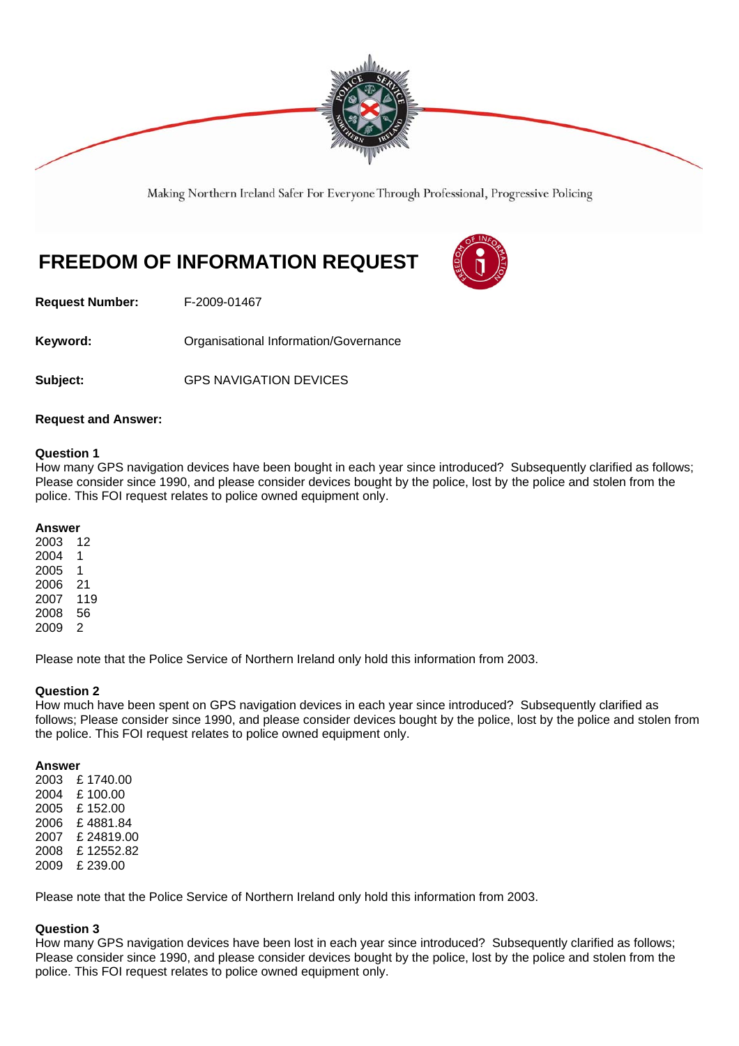

Making Northern Ireland Safer For Everyone Through Professional, Progressive Policing

# **FREEDOM OF INFORMATION REQUEST**



**Request Number:** F-2009-01467

Keyword: **Communistry Communists** Organisational Information/Governance

**Subject:** GPS NAVIGATION DEVICES

## **Request and Answer:**

#### **Question 1**

How many GPS navigation devices have been bought in each year since introduced? Subsequently clarified as follows; Please consider since 1990, and please consider devices bought by the police, lost by the police and stolen from the police. This FOI request relates to police owned equipment only.

#### **Answer**

Please note that the Police Service of Northern Ireland only hold this information from 2003.

## **Question 2**

How much have been spent on GPS navigation devices in each year since introduced? Subsequently clarified as follows; Please consider since 1990, and please consider devices bought by the police, lost by the police and stolen from the police. This FOI request relates to police owned equipment only.

#### **Answer**

2003 £ 1740.00 2004 £ 100.00 2005 £ 152.00 2006 £ 4881.84 2007 £ 24819.00 2008 £ 12552.82 2009 £ 239.00

Please note that the Police Service of Northern Ireland only hold this information from 2003.

## **Question 3**

How many GPS navigation devices have been lost in each year since introduced? Subsequently clarified as follows; Please consider since 1990, and please consider devices bought by the police, lost by the police and stolen from the police. This FOI request relates to police owned equipment only.